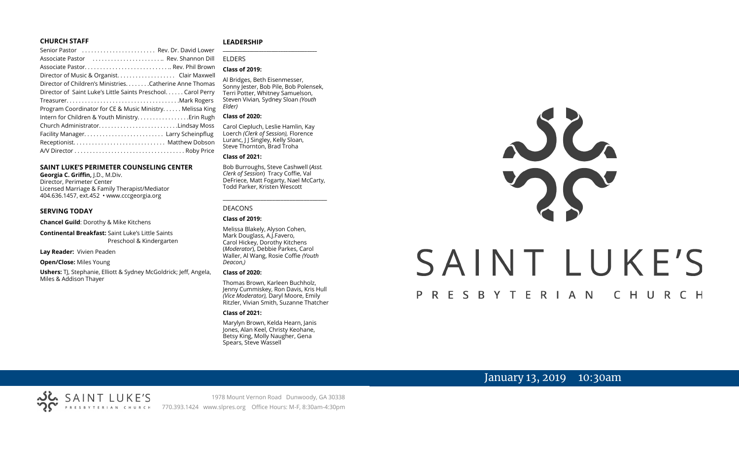### **CHURCH STAFF**

| Senior Pastor  Rev. Dr. David Lower                          |  |
|--------------------------------------------------------------|--|
| Associate Pastor  Rev. Shannon Dill                          |  |
|                                                              |  |
| Director of Music & Organist. Clair Maxwell                  |  |
| Director of Children's Ministries. Catherine Anne Thomas     |  |
| Director of Saint Luke's Little Saints Preschool Carol Perry |  |
|                                                              |  |
| Program Coordinator for CE & Music Ministry Melissa King     |  |
|                                                              |  |
| Church AdministratorLindsay Moss                             |  |
|                                                              |  |
|                                                              |  |
|                                                              |  |
|                                                              |  |

### **SAINT LUKE'S PERIMETER COUNSELING CENTER**

**Georgia C. Griffin,** J.D., M.Div. Director, Perimeter Center Licensed Marriage & Family Therapist/Mediator 404.636.1457, ext.452 • www.cccgeorgia.org

### **SERVING TODAY**

**Chancel Guild**: Dorothy & Mike Kitchens

**Continental Breakfast:** Saint Luke's Little Saints Preschool & Kindergarten

**Lay Reader:** Vivien Peaden

**Open/Close:** Miles Young

**Ushers:** TJ, Stephanie, Elliott & Sydney McGoldrick; Jeff, Angela, Miles & Addison Thayer

### **LEADERSHIP**

### ELDERS

### **Class of 2019:**

Al Bridges, Beth Eisenmesser, Sonny Jester, Bob Pile, Bob Polensek, Terri Potter, Whitney Samuelson, Steven Vivian*,* Sydney Sloan *(Youth Elder)*

**\_\_\_\_\_\_\_\_\_\_\_\_\_\_\_\_\_\_\_\_\_\_\_\_\_\_\_\_\_\_\_\_\_\_\_\_\_\_\_**

### **Class of 2020:**

Carol Ciepluch, Leslie Hamlin, Kay Loerch *(Clerk of Session),* Florence Luranc, I J Singley, Kelly Sloan, Steve Thornton, Brad Troha

### **Class of 2021:**

Bob Burroughs, Steve Cashwell (*Asst. Clerk of Session*) Tracy Coffie, Val DeFriece, Matt Fogarty, Nael McCarty, Todd Parker, Kristen Wescott

\_\_\_\_\_\_\_\_\_\_\_\_\_\_\_\_\_\_\_\_\_\_\_\_\_\_\_\_\_\_\_\_\_\_\_\_

### DEACONS

**Class of 2019:**

Melissa Blakely, Alyson Cohen, Mark Douglass, A.J.Favero, Carol Hickey, Dorothy Kitchens (*Moderator*), Debbie Parkes, Carol Waller, Al Wang, Rosie Coffie *(Youth Deacon,)* 

### **Class of 2020:**

Thomas Brown, Karleen Buchholz, Jenny Cummiskey, Ron Davis, Kris Hull *(Vice Moderator),* Daryl Moore, Emily Ritzler, Vivian Smith, Suzanne Thatcher

### **Class of 2021:**

Marylyn Brown, Kelda Hearn, Janis Jones, Alan Keel, Christy Keohane, Betsy King, Molly Naugher, Gena Spears, Steve Wassell



# SAINT LUKE'S

### P R E S B Y T E R I A N CHURCH

# January 13, 2019 10:30am

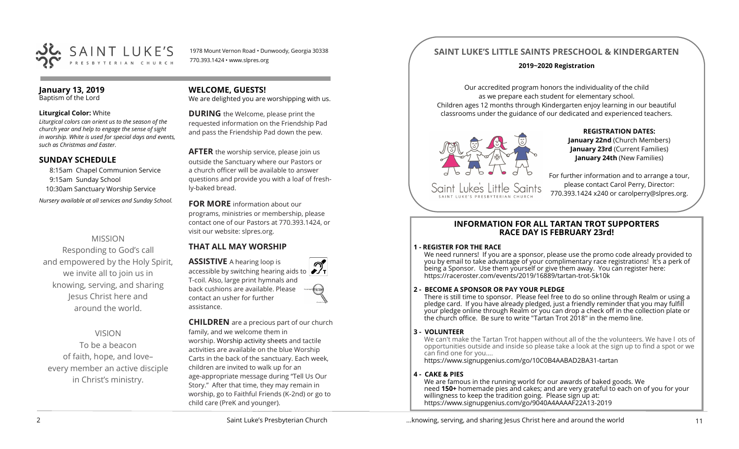

1978 Mount Vernon Road • Dunwoody, Georgia 30338 770.393.1424 • www.slpres.org

### **January 13, 2019** Baptism of the Lord

**Liturgical Color:** White

*Liturgical colors can orient us to the season of the church year and help to engage the sense of sight in worship. White is used for special days and events, such as Christmas and Easter.*

### **SUNDAY SCHEDULE**

8:15am Chapel Communion Service 9:15am Sunday School 10:30am Sanctuary Worship Service *Nursery available at all services and Sunday School.* 

# MISSION

Responding to God's call and empowered by the Holy Spirit, we invite all to join us in knowing, serving, and sharing Jesus Christ here and around the world.

# VISION

To be a beacon of faith, hope, and love– every member an active disciple in Christ's ministry.

### **WELCOME, GUESTS!**

We are delighted you are worshipping with us.

**DURING** the Welcome, please print the requested information on the Friendship Pad and pass the Friendship Pad down the pew.

**AFTER** the worship service, please join us outside the Sanctuary where our Pastors or a church officer will be available to answer questions and provide you with a loaf of freshly-baked bread.

**FOR MORE** information about our programs, ministries or membership, please contact one of our Pastors at 770.393.1424, or visit our website: slpres.org.

# **THAT ALL MAY WORSHIP**

**ASSISTIVE** A hearing loop is **ACCESSIBLE A NEART AND ACCESSIBLE DEPARTMENT AT ACCESSIBLE ACT** T-coil. Also, large print hymnals and back cushions are available. Please contact an usher for further assistance.

**CHILDREN** are a precious part of our church family, and we welcome them in worship. Worship activity sheets and tactile activities are available on the blue Worship Carts in the back of the sanctuary. Each week, children are invited to walk up for an age-appropriate message during "Tell Us Our Story." After that time, they may remain in worship, go to Faithful Friends (K-2nd) or go to child care (PreK and younger).

# **SAINT LUKE'S LITTLE SAINTS PRESCHOOL & KINDERGARTEN**

### **2019~2020 Registration**

Our accredited program honors the individuality of the child as we prepare each student for elementary school. Children ages 12 months through Kindergarten enjoy learning in our beautiful classrooms under the guidance of our dedicated and experienced teachers.



**REGISTRATION DATES: January 22nd** (Church Members) **January 23rd** (Current Families) **January 24th** (New Families)

For further information and to arrange a tour, please contact Carol Perry, Director: 770.393.1424 x240 or [carolperry@slpres.org.](mailto:carolperry@slpres.org)

### **INFORMATION FOR ALL TARTAN TROT SUPPORTERS RACE DAY IS FEBRUARY 23rd!**

### **1 - REGISTER FOR THE RACE**

We need runners! If you are a sponsor, please use the promo code already provided to you by email to take advantage of your complimentary race registrations! It's a perk of being a Sponsor. Use them yourself or give them away. You can register here: [https://raceroster.com/events/2019/16889/tartan](https://raceroster.com/events/2019/16889/tartan-trot-5k10k)-trot-5k10k

### **2 - BECOME A SPONSOR OR PAY YOUR PLEDGE**

There is still time to sponsor. Please feel free to do so online through Realm or using a pledge card. If you have already pledged, just a friendly reminder that you may fulfill your pledge online through Realm or you can drop a check off in the collection plate or the church office. Be sure to write "Tartan Trot 2018" in the memo line.

### **3 - VOLUNTEER**

We can't make the Tartan Trot happen without all of the the volunteers. We have l ots of opportunities outside and inside so please take a look at the sign up to find a spot or we can find one for you....

[https://www.signupgenius.com/go/10C0B4AABAD2BA31](https://www.signupgenius.com/go/10C0B4AABAD2BA31-tartan)-tartan

### **4 - CAKE & PIES**

We are famous in the running world for our awards of baked goods. We need **150+** homemade pies and cakes; and are very grateful to each on of you for your willingness to keep the tradition going. Please sign up at: [https://www.signupgenius.com/go/9040A4AAAAF22A13](https://www.signupgenius.com/go/9040A4AAAAF22A13-2019)-2019

...knowing, serving, and sharing Jesus Christ here and around the world 11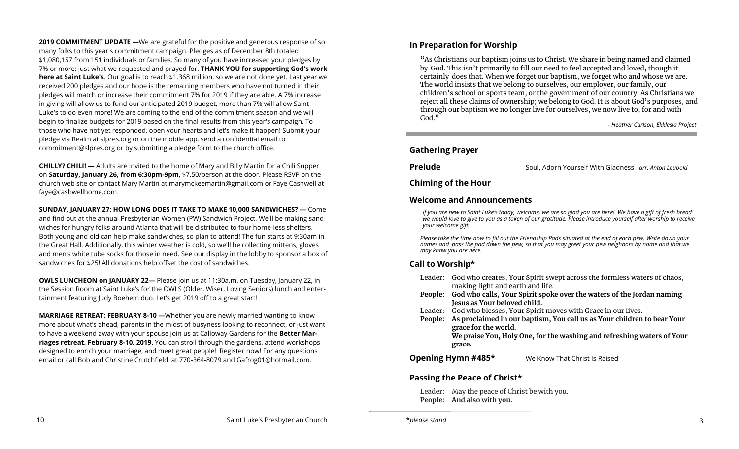**2019 COMMITMENT UPDATE** —We are grateful for the positive and generous response of so many folks to this year's commitment campaign. Pledges as of December 8th totaled \$1,080,157 from 151 individuals or families. So many of you have increased your pledges by 7% or more; just what we requested and prayed for. **THANK YOU for supporting God's work here at Saint Luke's**. Our goal is to reach \$1.368 million, so we are not done yet. Last year we received 200 pledges and our hope is the remaining members who have not turned in their pledges will match or increase their commitment 7% for 2019 if they are able. A 7% increase in giving will allow us to fund our anticipated 2019 budget, more than 7% will allow Saint Luke's to do even more! We are coming to the end of the commitment season and we will begin to finalize budgets for 2019 based on the final results from this year's campaign. To those who have not yet responded, open your hearts and let's make it happen! Submit your pledge via Realm at slpres.org or on the mobile app, send a confidential email to [commitment@slpres.org](mailto:commitment@slpres.org) or by submitting a pledge form to the church office.

**CHILLY? CHILI! —** Adults are invited to the home of Mary and Billy Martin for a Chili Supper on **Saturday, January 26, from 6:30pm-9pm**, \$7.50/person at the door. Please RSVP on the church web site or contact Mary Martin at [marymckeemartin@gmail.com](mailto:marymckeemartin@gmail.com) or Faye Cashwell at [faye@cashwellhome.com.](mailto:faye@cashwellhome.com)

**SUNDAY, JANUARY 27: HOW LONG DOES IT TAKE TO MAKE 10,000 SANDWICHES? —** Come and find out at the annual Presbyterian Women (PW) Sandwich Project. We'll be making sandwiches for hungry folks around Atlanta that will be distributed to four home-less shelters. Both young and old can help make sandwiches, so plan to attend! The fun starts at 9:30am in the Great Hall. Additionally, this winter weather is cold, so we'll be collecting mittens, gloves and men's white tube socks for those in need. See our display in the lobby to sponsor a box of sandwiches for \$25! All donations help offset the cost of sandwiches.

**OWLS LUNCHEON on JANUARY 22—** Please join us at 11:30a.m. on Tuesday, January 22, in the Session Room at Saint Luke's for the OWLS (Older, Wiser, Loving Seniors) lunch and entertainment featuring Judy Boehem duo. Let's get 2019 off to a great start!

**MARRIAGE RETREAT: FEBRUARY 8-10 —**Whether you are newly married wanting to know more about what's ahead, parents in the midst of busyness looking to reconnect, or just want to have a weekend away with your spouse join us at Calloway Gardens for the **Better Marriages retreat, February 8-10, 2019.** You can stroll through the gardens, attend workshops designed to enrich your marriage, and meet great people! Register now! For any questions email or call Bob and Christine Crutchfield at 770-364-8079 and [Gafrog01@hotmail.com.](mailto:Gafrog01@hotmail.com) 

### **In Preparation for Worship**

**"**As Christians our baptism joins us to Christ. We share in being named and claimed by God. This isn't primarily to fill our need to feel accepted and loved, though it certainly does that. When we forget our baptism, we forget who and whose we are. The world insists that we belong to ourselves, our employer, our family, our children's school or sports team, or the government of our country. As Christians we reject all these claims of ownership; we belong to God. It is about God's purposes, and through our baptism we no longer live for ourselves, we now live to, for and with God."

*- Heather Carlson, Ekklesia Project*

### **Gathering Prayer**

l

**Prelude** Soul, Adorn Yourself With Gladness *arr. Anton Leupold* 

### **Chiming of the Hour**

### **Welcome and Announcements**

*If you are new to Saint Luke's today, welcome, we are so glad you are here! We have a gift of fresh bread we would love to give to you as a token of our gratitude. Please introduce yourself after worship to receive your welcome gift.*

*Please take the time now to fill out the Friendship Pads situated at the end of each pew. Write down your names and pass the pad down the pew, so that you may greet your pew neighbors by name and that we may know you are here.*

# **Call to Worship\***

- Leader: God who creates, Your Spirit swept across the formless waters of chaos, making light and earth and life.
- **People: God who calls, Your Spirit spoke over the waters of the Jordan naming Jesus as Your beloved child.**
- Leader: God who blesses, Your Spirit moves with Grace in our lives.
- **People: As proclaimed in our baptism, You call us as Your children to bear Your grace for the world. We praise You, Holy One, for the washing and refreshing waters of Your**

**grace.**

### **Opening Hymn #485\*** We Know That Christ Is Raised

### **Passing the Peace of Christ\***

Leader: May the peace of Christ be with you. **People: And also with you.**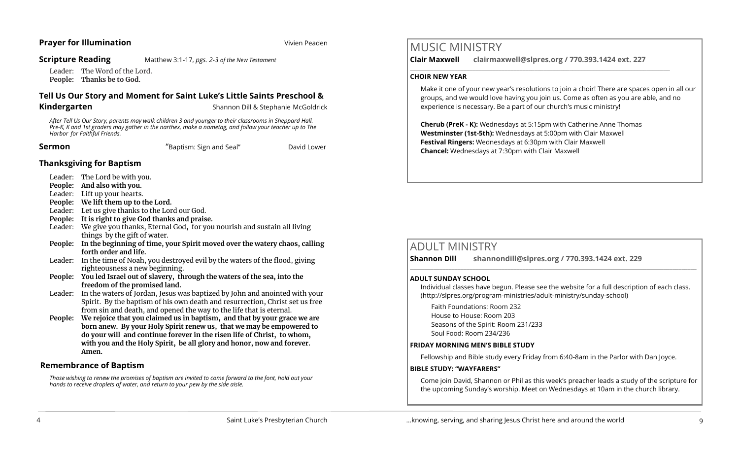### **Prayer for Illumination Vivien Peaden**

**Scripture Reading** Matthew 3:1-17, *pgs. 2-3 of the New Testament*

Leader: The Word of the Lord. **People: Thanks be to God.** 

# **Tell Us Our Story and Moment for Saint Luke's Little Saints Preschool &**

**Kindergarten**<br>
Shannon Dill & Stephanie McGoldrick

*After Tell Us Our Story, parents may walk children 3 and younger to their classrooms in Sheppard Hall. Pre-K, K and 1st graders may gather in the narthex, make a nametag, and follow your teacher up to The Harbor for Faithful Friends.*

**Sermon Example 2 Constant Constant Constant Constant Constant Constant Constant Constant Constant Constant Constant Constant Constant Constant Constant Constant Constant Constant Constant Constant Constant Constant Co** 

### **Thanksgiving for Baptism**

- Leader: The Lord be with you.
- **People: And also with you.**
- Leader: Lift up your hearts.
- **People: We lift them up to the Lord.**
- Leader: Let us give thanks to the Lord our God.
- **People: It is right to give God thanks and praise.**
- Leader: We give you thanks, Eternal God, for you nourish and sustain all living things by the gift of water.
- **People: In the beginning of time, your Spirit moved over the watery chaos, calling forth order and life.**
- Leader: In the time of Noah, you destroyed evil by the waters of the flood, giving righteousness a new beginning.
- **People: You led Israel out of slavery, through the waters of the sea, into the freedom of the promised land.**
- Leader: In the waters of Jordan, Jesus was baptized by John and anointed with your Spirit. By the baptism of his own death and resurrection, Christ set us free from sin and death, and opened the way to the life that is eternal.
- **People: We rejoice that you claimed us in baptism, and that by your grace we are born anew. By your Holy Spirit renew us, that we may be empowered to do your will and continue forever in the risen life of Christ, to whom, with you and the Holy Spirit, be all glory and honor, now and forever. Amen.**

### **Remembrance of Baptism**

*Those wishing to renew the promises of baptism are invited to come forward to the font, hold out your hands to receive droplets of water, and return to your pew by the side aisle.*

# MUSIC MINISTRY

**Clair Maxwell clairmaxwell@slpres.org / 770.393.1424 ext. 227** 

 $\_$  ,  $\_$  ,  $\_$  ,  $\_$  ,  $\_$  ,  $\_$  ,  $\_$  ,  $\_$  ,  $\_$  ,  $\_$  ,  $\_$  ,  $\_$  ,  $\_$  ,  $\_$  ,  $\_$  ,  $\_$  ,  $\_$  ,  $\_$ 

### **CHOIR NEW YEAR**

Make it one of your new year's resolutions to join a choir! There are spaces open in all our groups, and we would love having you join us. Come as often as you are able, and no experience is necessary. Be a part of our church's music ministry!

**Cherub (PreK - K):** Wednesdays at 5:15pm with Catherine Anne Thomas **Westminster (1st-5th):** Wednesdays at 5:00pm with Clair Maxwell **Festival Ringers:** Wednesdays at 6:30pm with Clair Maxwell **Chancel:** Wednesdays at 7:30pm with Clair Maxwell

# ADULT MINISTRY

**Shannon Dill shannondill@slpres.org / 770.393.1424 ext. 229**   $\_$  ,  $\_$  ,  $\_$  ,  $\_$  ,  $\_$  ,  $\_$  ,  $\_$  ,  $\_$  ,  $\_$  ,  $\_$  ,  $\_$  ,  $\_$  ,  $\_$  ,  $\_$  ,  $\_$  ,  $\_$  ,  $\_$  ,  $\_$  ,  $\_$ 

### **ADULT SUNDAY SCHOOL**

Individual classes have begun. Please see the website for a full description of each class. (http://slpres.org/program-ministries/adult-ministry/sunday-school)

Faith Foundations: Room 232 House to House: Room 203 Seasons of the Spirit: Room 231/233 Soul Food: Room 234/236

### **FRIDAY MORNING MEN'S BIBLE STUDY**

Fellowship and Bible study every Friday from 6:40-8am in the Parlor with Dan Joyce.

### **BIBLE STUDY: "WAYFARERS"**

Come join David, Shannon or Phil as this week's preacher leads a study of the scripture for the upcoming Sunday's worship. Meet on Wednesdays at 10am in the church library.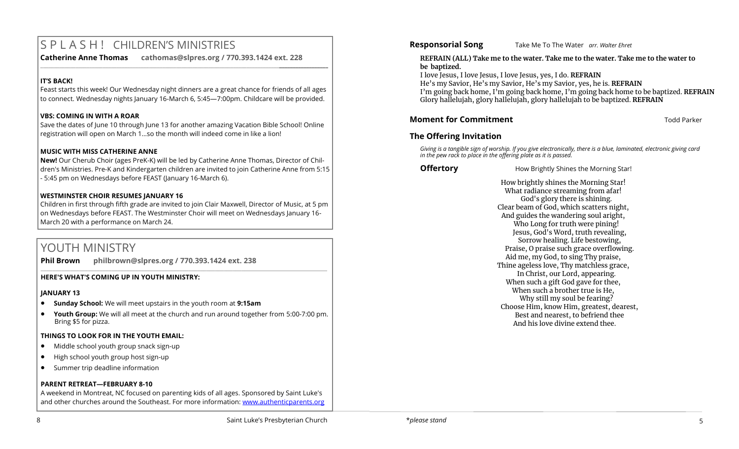# S P L A S H ! CHILDREN'S MINISTRIES

**Catherine Anne Thomas cathomas@slpres.org / 770.393.1424 ext. 228** 

### **IT'S BACK!**

Feast starts this week! Our Wednesday night dinners are a great chance for friends of all ages to connect. Wednesday nights January 16-March 6, 5:45—7:00pm. Childcare will be provided.

**\_\_\_\_\_\_\_\_\_\_\_\_\_\_\_\_\_\_\_\_\_\_\_\_\_\_\_\_\_\_\_\_\_\_\_\_\_\_\_\_\_\_\_\_\_\_\_\_\_\_\_\_\_\_\_\_\_\_\_\_\_\_\_\_\_\_\_\_\_\_\_\_\_\_\_\_\_\_\_\_\_\_\_\_\_\_\_\_\_\_\_\_\_\_\_\_\_\_\_\_\_\_\_\_\_\_** 

### **VBS: COMING IN WITH A ROAR**

Save the dates of June 10 through June 13 for another amazing Vacation Bible School! Online registration will open on March 1…so the month will indeed come in like a lion!

### **MUSIC WITH MISS CATHERINE ANNE**

**New!** Our Cherub Choir (ages PreK-K) will be led by Catherine Anne Thomas, Director of Children's Ministries. Pre-K and Kindergarten children are invited to join Catherine Anne from 5:15 - 5:45 pm on Wednesdays before FEAST (January 16-March 6).

### **WESTMINSTER CHOIR RESUMES JANUARY 16**

Children in first through fifth grade are invited to join Clair Maxwell, Director of Music, at 5 pm on Wednesdays before FEAST. The Westminster Choir will meet on Wednesdays January 16- March 20 with a performance on March 24.

 $\_$  ,  $\_$  ,  $\_$  ,  $\_$  ,  $\_$  ,  $\_$  ,  $\_$  ,  $\_$  ,  $\_$  ,  $\_$  ,  $\_$  ,  $\_$  ,  $\_$  ,  $\_$  ,  $\_$  ,  $\_$  ,  $\_$  ,  $\_$  ,  $\_$  ,  $\_$  ,  $\_$  ,  $\_$  ,  $\_$  ,  $\_$  ,  $\_$  ,  $\_$  ,  $\_$  ,  $\_$  ,  $\_$  ,  $\_$  ,  $\_$  ,  $\_$  ,  $\_$  ,  $\_$  ,  $\_$  ,  $\_$  ,  $\_$  ,

# YOUTH MINISTRY

**Phil Brown philbrown@slpres.org / 770.393.1424 ext. 238** 

### **HERE'S WHAT'S COMING UP IN YOUTH MINISTRY:**

### **JANUARY 13**

- **Sunday School:** We will meet upstairs in the youth room at **9:15am**
- **Youth Group:** We will all meet at the church and run around together from 5:00-7:00 pm. Bring \$5 for pizza.

### **THINGS TO LOOK FOR IN THE YOUTH EMAIL:**

- Middle school youth group snack sign-up
- High school youth group host sign-up
- Summer trip deadline information

### **PARENT RETREAT—FEBRUARY 8-10**

A weekend in Montreat, NC focused on parenting kids of all ages. Sponsored by Saint Luke's and other churches around the Southeast. For more information: [www.authenticparents.org](http://www.authenticparents.org)

**Responsorial Song** Take Me To The Water *arr. Walter Ehret* 

### **REFRAIN (ALL) Take me to the water. Take me to the water. Take me to the water to be baptized.**

I love Jesus, I love Jesus, I love Jesus, yes, I do. **REFRAIN** He's my Savior, He's my Savior, He's my Savior, yes, he is. **REFRAIN** I'm going back home, I'm going back home, I'm going back home to be baptized. **REFRAIN** Glory hallelujah, glory hallelujah, glory hallelujah to be baptized. **REFRAIN** 

### **Moment for Commitment** Todd Parker

### **The Offering Invitation**

*Giving is a tangible sign of worship. If you give electronically, there is a blue, laminated, electronic giving card in the pew rack to place in the offering plate as it is passed.*

**Offertory How Brightly Shines the Morning Star!** 

How brightly shines the Morning Star! What radiance streaming from afar! God's glory there is shining. Clear beam of God, which scatters night, And guides the wandering soul aright, Who Long for truth were pining! Jesus, God's Word, truth revealing, Sorrow healing. Life bestowing, Praise, O praise such grace overflowing. Aid me, my God, to sing Thy praise, Thine ageless love, Thy matchless grace, In Christ, our Lord, appearing. When such a gift God gave for thee, When such a brother true is He. Why still my soul be fearing? Choose Him, know Him, greatest, dearest, Best and nearest, to befriend thee And his love divine extend thee.